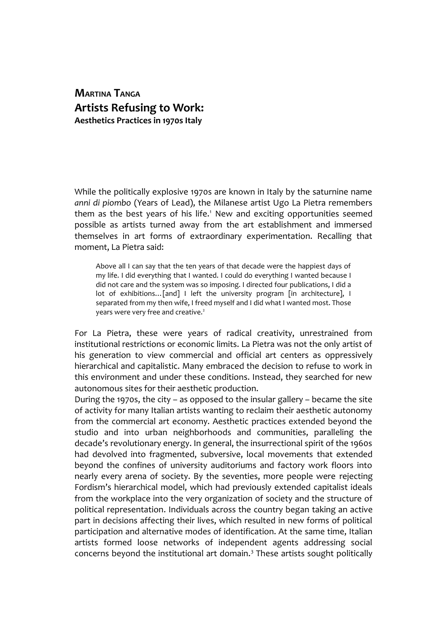**MARTINA TANGA Artists Refusing to Work: Aesthetics Practices in 1970s Italy**

While the politically explosive 1970s are known in Italy by the saturnine name *anni di piombo* (Years of Lead), the Milanese artist Ugo La Pietra remembers them as the best years of his life.<sup>1</sup> New and exciting opportunities seemed possible as artists turned away from the art establishment and immersed themselves in art forms of extraordinary experimentation. Recalling that moment, La Pietra said:

Above all I can say that the ten years of that decade were the happiest days of my life. I did everything that I wanted. I could do everything I wanted because I did not care and the system was so imposing. I directed four publications, I did a lot of exhibitions... [and] I left the university program [in architecture], I separated from my then wife, I freed myself and I did what I wanted most. Those years were very free and creative.<sup>2</sup>

For La Pietra, these were years of radical creativity, unrestrained from institutional restrictions or economic limits. La Pietra was not the only artist of his generation to view commercial and official art centers as oppressively hierarchical and capitalistic. Many embraced the decision to refuse to work in this environment and under these conditions. Instead, they searched for new autonomous sites for their aesthetic production.

During the 1970s, the city – as opposed to the insular gallery – became the site of activity for many Italian artists wanting to reclaim their aesthetic autonomy from the commercial art economy. Aesthetic practices extended beyond the studio and into urban neighborhoods and communities, paralleling the decade's revolutionary energy. In general, the insurrectional spirit of the 1960s had devolved into fragmented, subversive, local movements that extended beyond the confines of university auditoriums and factory work floors into nearly every arena of society. By the seventies, more people were rejecting Fordism's hierarchical model, which had previously extended capitalist ideals from the workplace into the very organization of society and the structure of political representation. Individuals across the country began taking an active part in decisions affecting their lives, which resulted in new forms of political participation and alternative modes of identification. At the same time, Italian artists formed loose networks of independent agents addressing social concerns beyond the institutional art domain.<sup>3</sup> These artists sought politically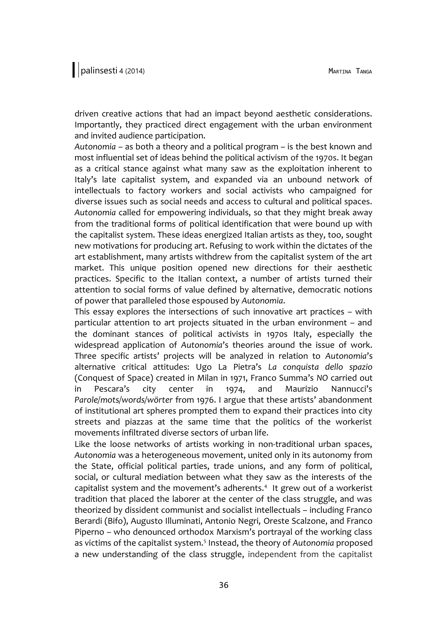driven creative actions that had an impact beyond aesthetic considerations. Importantly, they practiced direct engagement with the urban environment and invited audience participation.

*Autonomia* – as both a theory and a political program – is the best known and most influential set of ideas behind the political activism of the 1970s. It began as a critical stance against what many saw as the exploitation inherent to Italy's late capitalist system, and expanded via an unbound network of intellectuals to factory workers and social activists who campaigned for diverse issues such as social needs and access to cultural and political spaces. *Autonomia* called for empowering individuals, so that they might break away from the traditional forms of political identification that were bound up with the capitalist system. These ideas energized Italian artists as they, too, sought new motivations for producing art. Refusing to work within the dictates of the art establishment, many artists withdrew from the capitalist system of the art market. This unique position opened new directions for their aesthetic practices. Specific to the Italian context, a number of artists turned their attention to social forms of value defined by alternative, democratic notions of power that paralleled those espoused by *Autonomia*.

This essay explores the intersections of such innovative art practices – with particular attention to art projects situated in the urban environment – and the dominant stances of political activists in 1970s Italy, especially the widespread application of *Autonomia*'s theories around the issue of work. Three specific artists' projects will be analyzed in relation to *Autonomia*'s alternative critical attitudes: Ugo La Pietra's *La conquista dello spazio* (Conquest of Space) created in Milan in 1971, Franco Summa's *NO* carried out in Pescara's city center in 1974, and Maurizio Nannucci's *Parole/mots/words/wörter* from 1976. I argue that these artists' abandonment of institutional art spheres prompted them to expand their practices into city streets and piazzas at the same time that the politics of the workerist movements infiltrated diverse sectors of urban life.

Like the loose networks of artists working in non-traditional urban spaces, *Autonomia* was a heterogeneous movement, united only in its autonomy from the State, official political parties, trade unions, and any form of political, social, or cultural mediation between what they saw as the interests of the capitalist system and the movement's adherents.<sup>4</sup> It grew out of a workerist tradition that placed the laborer at the center of the class struggle, and was theorized by dissident communist and socialist intellectuals – including Franco Berardi (Bifo), Augusto Illuminati, Antonio Negri, Oreste Scalzone, and Franco Piperno – who denounced orthodox Marxism's portrayal of the working class as victims of the capitalist system.<sup>5</sup> Instead, the theory of *Autonomia* proposed a new understanding of the class struggle, independent from the capitalist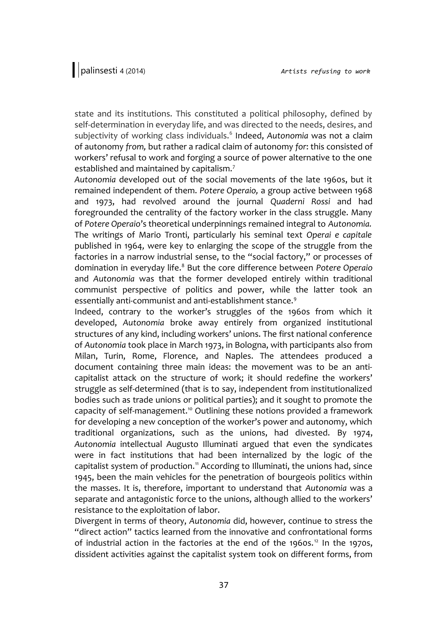state and its institutions. This constituted a political philosophy, defined by self-determination in everyday life, and was directed to the needs, desires, and subjectivity of working class individuals.<sup>6</sup> Indeed, Autonomia was not a claim of autonomy *from,* but rather a radical claim of autonomy *for*: this consisted of workers' refusal to work and forging a source of power alternative to the one established and maintained by capitalism.<sup>7</sup>

*Autonomia* developed out of the social movements of the late 1960s, but it remained independent of them. *Potere Operaio,* a group active between 1968 and 1973, had revolved around the journal *Quaderni Rossi* and had foregrounded the centrality of the factory worker in the class struggle. Many of *Potere Operaio*'s theoretical underpinnings remained integral to *Autonomia.* The writings of Mario Tronti, particularly his seminal text *Operai e capitale* published in 1964*,* were key to enlarging the scope of the struggle from the factories in a narrow industrial sense, to the "social factory," or processes of domination in everyday life.<sup>8</sup> But the core difference between *Potere Operaio* and *Autonomia* was that the former developed entirely within traditional communist perspective of politics and power, while the latter took an essentially anti-communist and anti-establishment stance.<sup>9</sup>

Indeed, contrary to the worker's struggles of the 1960s from which it developed, *Autonomia* broke away entirely from organized institutional structures of any kind, including workers' unions. The first national conference of *Autonomia* took place in March 1973, in Bologna, with participants also from Milan, Turin, Rome, Florence, and Naples. The attendees produced a document containing three main ideas: the movement was to be an anticapitalist attack on the structure of work; it should redefine the workers' struggle as self-determined (that is to say, independent from institutionalized bodies such as trade unions or political parties); and it sought to promote the capacity of self-management.<sup>10</sup> Outlining these notions provided a framework for developing a new conception of the worker's power and autonomy, which traditional organizations, such as the unions, had divested. By 1974, *Autonomia* intellectual Augusto Illuminati argued that even the syndicates were in fact institutions that had been internalized by the logic of the capitalist system of production.<sup>11</sup> According to Illuminati, the unions had, since 1945, been the main vehicles for the penetration of bourgeois politics within the masses. It is, therefore, important to understand that *Autonomia* was a separate and antagonistic force to the unions, although allied to the workers' resistance to the exploitation of labor.

Divergent in terms of theory, *Autonomia* did, however, continue to stress the "direct action" tactics learned from the innovative and confrontational forms of industrial action in the factories at the end of the 1960s.<sup>12</sup> In the 1970s, dissident activities against the capitalist system took on different forms, from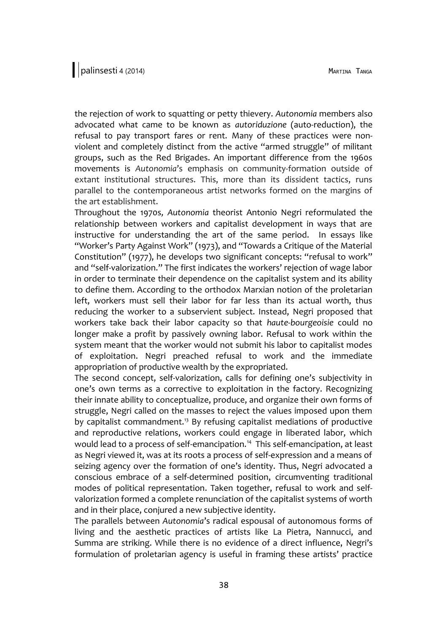the rejection of work to squatting or petty thievery. *Autonomia* members also advocated what came to be known as *autoriduzione* (auto-reduction), the refusal to pay transport fares or rent. Many of these practices were nonviolent and completely distinct from the active "armed struggle" of militant groups, such as the Red Brigades. An important difference from the 1960s movements is *Autonomia*'s emphasis on community-formation outside of extant institutional structures. This, more than its dissident tactics, runs parallel to the contemporaneous artist networks formed on the margins of the art establishment.

Throughout the 1970s*, Autonomia* theorist Antonio Negri reformulated the relationship between workers and capitalist development in ways that are instructive for understanding the art of the same period. In essays like "Worker's Party Against Work" (1973), and "Towards a Critique of the Material Constitution" (1977), he develops two significant concepts: "refusal to work" and "self-valorization." The first indicates the workers' rejection of wage labor in order to terminate their dependence on the capitalist system and its ability to define them. According to the orthodox Marxian notion of the proletarian left, workers must sell their labor for far less than its actual worth, thus reducing the worker to a subservient subject. Instead, Negri proposed that workers take back their labor capacity so that *haute-bourgeoisie* could no longer make a profit by passively owning labor. Refusal to work within the system meant that the worker would not submit his labor to capitalist modes of exploitation. Negri preached refusal to work and the immediate appropriation of productive wealth by the expropriated.

The second concept, self-valorization, calls for defining one's subjectivity in one's own terms as a corrective to exploitation in the factory. Recognizing their innate ability to conceptualize, produce, and organize their own forms of struggle, Negri called on the masses to reject the values imposed upon them by capitalist commandment.<sup>13</sup> By refusing capitalist mediations of productive and reproductive relations, workers could engage in liberated labor, which would lead to a process of self-emancipation.<sup>14</sup> This self-emancipation, at least as Negri viewed it, was at its roots a process of self-expression and a means of seizing agency over the formation of one's identity. Thus, Negri advocated a conscious embrace of a self-determined position, circumventing traditional modes of political representation. Taken together, refusal to work and selfvalorization formed a complete renunciation of the capitalist systems of worth and in their place, conjured a new subjective identity.

The parallels between *Autonomia*'s radical espousal of autonomous forms of living and the aesthetic practices of artists like La Pietra, Nannucci, and Summa are striking. While there is no evidence of a direct influence, Negri's formulation of proletarian agency is useful in framing these artists' practice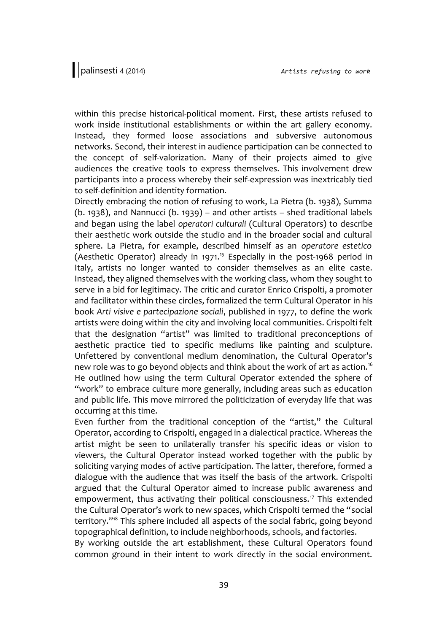within this precise historical-political moment. First, these artists refused to work inside institutional establishments or within the art gallery economy. Instead, they formed loose associations and subversive autonomous networks. Second, their interest in audience participation can be connected to the concept of self-valorization. Many of their projects aimed to give audiences the creative tools to express themselves. This involvement drew participants into a process whereby their self-expression was inextricably tied to self-definition and identity formation.

Directly embracing the notion of refusing to work, La Pietra (b. 1938), Summa (b. 1938), and Nannucci (b. 1939) – and other artists – shed traditional labels and began using the label *operatori culturali* (Cultural Operators) to describe their aesthetic work outside the studio and in the broader social and cultural sphere. La Pietra, for example, described himself as an *operatore estetico* (Aesthetic Operator) already in 1971.<sup>15</sup> Especially in the post-1968 period in Italy, artists no longer wanted to consider themselves as an elite caste. Instead, they aligned themselves with the working class, whom they sought to serve in a bid for legitimacy. The critic and curator Enrico Crispolti, a promoter and facilitator within these circles, formalized the term Cultural Operator in his book *Arti visive e partecipazione sociali*, published in 1977, to define the work artists were doing within the city and involving local communities. Crispolti felt that the designation "artist" was limited to traditional preconceptions of aesthetic practice tied to specific mediums like painting and sculpture. Unfettered by conventional medium denomination, the Cultural Operator's new role was to go beyond objects and think about the work of art as action.<sup>16</sup> He outlined how using the term Cultural Operator extended the sphere of "work" to embrace culture more generally, including areas such as education and public life. This move mirrored the politicization of everyday life that was occurring at this time.

Even further from the traditional conception of the "artist," the Cultural Operator, according to Crispolti, engaged in a dialectical practice. Whereas the artist might be seen to unilaterally transfer his specific ideas or vision to viewers, the Cultural Operator instead worked together with the public by soliciting varying modes of active participation. The latter, therefore, formed a dialogue with the audience that was itself the basis of the artwork. Crispolti argued that the Cultural Operator aimed to increase public awareness and empowerment, thus activating their political consciousness.<sup>17</sup> This extended the Cultural Operator's work to new spaces, which Crispolti termed the "social territory."<sup>18</sup> This sphere included all aspects of the social fabric, going beyond topographical definition, to include neighborhoods, schools, and factories.

By working outside the art establishment, these Cultural Operators found common ground in their intent to work directly in the social environment.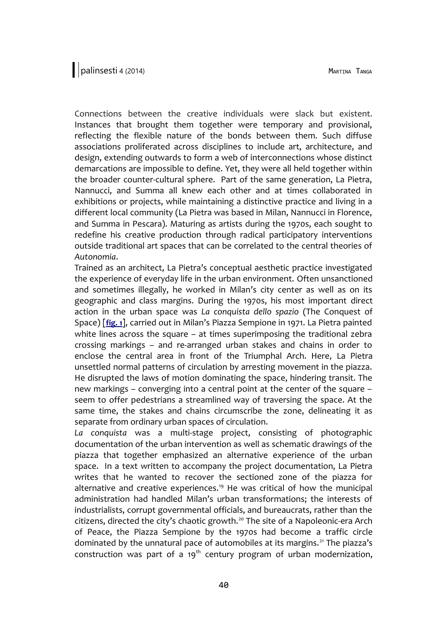Connections between the creative individuals were slack but existent. Instances that brought them together were temporary and provisional, reflecting the flexible nature of the bonds between them. Such diffuse associations proliferated across disciplines to include art, architecture, and design, extending outwards to form a web of interconnections whose distinct demarcations are impossible to define. Yet, they were all held together within the broader counter-cultural sphere. Part of the same generation, La Pietra, Nannucci, and Summa all knew each other and at times collaborated in exhibitions or projects, while maintaining a distinctive practice and living in a different local community (La Pietra was based in Milan, Nannucci in Florence, and Summa in Pescara). Maturing as artists during the 1970s, each sought to redefine his creative production through radical participatory interventions outside traditional art spaces that can be correlated to the central theories of *Autonomia*.

Trained as an architect, La Pietra's conceptual aesthetic practice investigated the experience of everyday life in the urban environment. Often unsanctioned and sometimes illegally, he worked in Milan's city center as well as on its geographic and class margins. During the 1970s, his most important direct action in the urban space was *La conquista dello spazio* (The Conquest of Space) [**[fig. 1](http://www.palinsesti.net/index.php/Palinsesti/article/downloadSuppFile/57/224)**], carried out in Milan's Piazza Sempione in 1971. La Pietra painted white lines across the square – at times superimposing the traditional zebra crossing markings – and re-arranged urban stakes and chains in order to enclose the central area in front of the Triumphal Arch. Here*,* La Pietra unsettled normal patterns of circulation by arresting movement in the piazza. He disrupted the laws of motion dominating the space, hindering transit. The new markings – converging into a central point at the center of the square – seem to offer pedestrians a streamlined way of traversing the space. At the same time, the stakes and chains circumscribe the zone, delineating it as separate from ordinary urban spaces of circulation.

*La conquista* was a multi-stage project, consisting of photographic documentation of the urban intervention as well as schematic drawings of the piazza that together emphasized an alternative experience of the urban space. In a text written to accompany the project documentation, La Pietra writes that he wanted to recover the sectioned zone of the piazza for alternative and creative experiences.<sup>19</sup> He was critical of how the municipal administration had handled Milan's urban transformations; the interests of industrialists, corrupt governmental officials, and bureaucrats, rather than the citizens, directed the city's chaotic growth.<sup>20</sup> The site of a Napoleonic-era Arch of Peace, the Piazza Sempione by the 1970s had become a traffic circle dominated by the unnatural pace of automobiles at its margins.<sup>21</sup> The piazza's construction was part of a  $19<sup>th</sup>$  century program of urban modernization,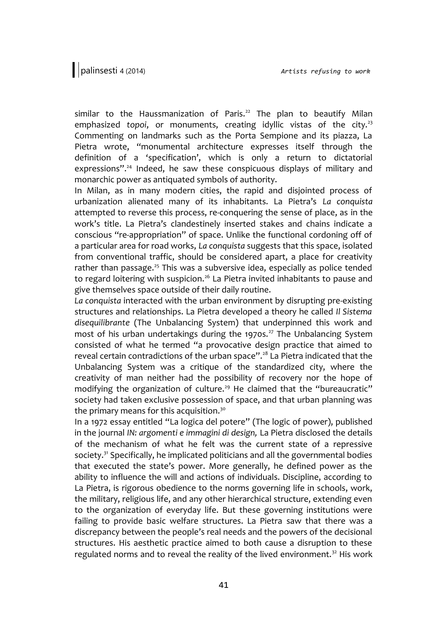similar to the Haussmanization of Paris.<sup>22</sup> The plan to beautify Milan emphasized *topoi*, or monuments, creating idyllic vistas of the city.<sup>23</sup> Commenting on landmarks such as the Porta Sempione and its piazza, La Pietra wrote, "monumental architecture expresses itself through the definition of a 'specification', which is only a return to dictatorial expressions".<sup>24</sup> Indeed, he saw these conspicuous displays of military and monarchic power as antiquated symbols of authority.

In Milan, as in many modern cities, the rapid and disjointed process of urbanization alienated many of its inhabitants. La Pietra's *La conquista* attempted to reverse this process, re-conquering the sense of place, as in the work's title. La Pietra's clandestinely inserted stakes and chains indicate a conscious "re-appropriation" of space. Unlike the functional cordoning off of a particular area for road works, *La conquista* suggests that this space, isolated from conventional traffic, should be considered apart, a place for creativity rather than passage.<sup>25</sup> This was a subversive idea, especially as police tended to regard loitering with suspicion.<sup>26</sup> La Pietra invited inhabitants to pause and give themselves space outside of their daily routine.

*La conquista* interacted with the urban environment by disrupting pre-existing structures and relationships. La Pietra developed a theory he called *Il Sistema disequilibrante* (The Unbalancing System) that underpinned this work and most of his urban undertakings during the 1970s.<sup>27</sup> The Unbalancing System consisted of what he termed "a provocative design practice that aimed to reveal certain contradictions of the urban space".<sup>28</sup> La Pietra indicated that the Unbalancing System was a critique of the standardized city, where the creativity of man neither had the possibility of recovery nor the hope of modifying the organization of culture.<sup>29</sup> He claimed that the "bureaucratic" society had taken exclusive possession of space, and that urban planning was the primary means for this acquisition.<sup>30</sup>

In a 1972 essay entitled "La logica del potere" (The logic of power), published in the journal *IN: argomenti e immagini di design,* La Pietra disclosed the details of the mechanism of what he felt was the current state of a repressive society. $31$  Specifically, he implicated politicians and all the governmental bodies that executed the state's power. More generally, he defined power as the ability to influence the will and actions of individuals. Discipline, according to La Pietra, is rigorous obedience to the norms governing life in schools, work, the military, religious life, and any other hierarchical structure, extending even to the organization of everyday life. But these governing institutions were failing to provide basic welfare structures. La Pietra saw that there was a discrepancy between the people's real needs and the powers of the decisional structures. His aesthetic practice aimed to both cause a disruption to these regulated norms and to reveal the reality of the lived environment.<sup>32</sup> His work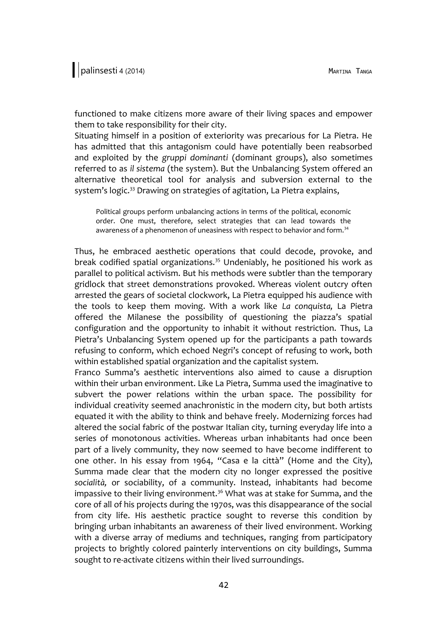functioned to make citizens more aware of their living spaces and empower them to take responsibility for their city.

Situating himself in a position of exteriority was precarious for La Pietra. He has admitted that this antagonism could have potentially been reabsorbed and exploited by the *gruppi dominanti* (dominant groups), also sometimes referred to as *il sistema* (the system). But the Unbalancing System offered an alternative theoretical tool for analysis and subversion external to the system's logic.<sup>33</sup> Drawing on strategies of agitation, La Pietra explains,

Political groups perform unbalancing actions in terms of the political, economic order. One must, therefore, select strategies that can lead towards the awareness of a phenomenon of uneasiness with respect to behavior and form.<sup>34</sup>

Thus, he embraced aesthetic operations that could decode, provoke, and break codified spatial organizations.<sup>35</sup> Undeniably, he positioned his work as parallel to political activism. But his methods were subtler than the temporary gridlock that street demonstrations provoked. Whereas violent outcry often arrested the gears of societal clockwork, La Pietra equipped his audience with the tools to keep them moving. With a work like *La conquista,* La Pietra offered the Milanese the possibility of questioning the piazza's spatial configuration and the opportunity to inhabit it without restriction. Thus, La Pietra's Unbalancing System opened up for the participants a path towards refusing to conform, which echoed Negri's concept of refusing to work, both within established spatial organization and the capitalist system.

Franco Summa's aesthetic interventions also aimed to cause a disruption within their urban environment. Like La Pietra, Summa used the imaginative to subvert the power relations within the urban space. The possibility for individual creativity seemed anachronistic in the modern city, but both artists equated it with the ability to think and behave freely. Modernizing forces had altered the social fabric of the postwar Italian city, turning everyday life into a series of monotonous activities. Whereas urban inhabitants had once been part of a lively community, they now seemed to have become indifferent to one other. In his essay from 1964, "Casa e la città" (Home and the City), Summa made clear that the modern city no longer expressed the positive *socialità,* or sociability, of a community. Instead, inhabitants had become impassive to their living environment.<sup>36</sup> What was at stake for Summa, and the core of all of his projects during the 1970s, was this disappearance of the social from city life. His aesthetic practice sought to reverse this condition by bringing urban inhabitants an awareness of their lived environment. Working with a diverse array of mediums and techniques, ranging from participatory projects to brightly colored painterly interventions on city buildings, Summa sought to re-activate citizens within their lived surroundings.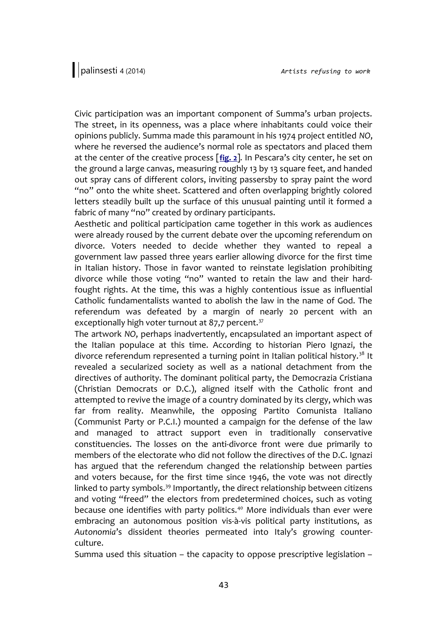Civic participation was an important component of Summa's urban projects. The street, in its openness, was a place where inhabitants could voice their opinions publicly. Summa made this paramount in his 1974 project entitled *NO*, where he reversed the audience's normal role as spectators and placed them at the center of the creative process [**[fig. 2](http://www.palinsesti.net/index.php/Palinsesti/article/downloadSuppFile/57/226)**]*.* In Pescara's city center, he set on the ground a large canvas, measuring roughly 13 by 13 square feet, and handed out spray cans of different colors, inviting passersby to spray paint the word "no" onto the white sheet. Scattered and often overlapping brightly colored letters steadily built up the surface of this unusual painting until it formed a fabric of many "no" created by ordinary participants.

Aesthetic and political participation came together in this work as audiences were already roused by the current debate over the upcoming referendum on divorce. Voters needed to decide whether they wanted to repeal a government law passed three years earlier allowing divorce for the first time in Italian history. Those in favor wanted to reinstate legislation prohibiting divorce while those voting "no" wanted to retain the law and their hardfought rights. At the time, this was a highly contentious issue as influential Catholic fundamentalists wanted to abolish the law in the name of God. The referendum was defeated by a margin of nearly 20 percent with an exceptionally high voter turnout at 87,7 percent. $37$ 

The artwork *NO*, perhaps inadvertently, encapsulated an important aspect of the Italian populace at this time. According to historian Piero Ignazi, the divorce referendum represented a turning point in Italian political history.<sup>38</sup> It revealed a secularized society as well as a national detachment from the directives of authority. The dominant political party, the Democrazia Cristiana (Christian Democrats or D.C.), aligned itself with the Catholic front and attempted to revive the image of a country dominated by its clergy, which was far from reality. Meanwhile, the opposing Partito Comunista Italiano (Communist Party or P.C.I.) mounted a campaign for the defense of the law and managed to attract support even in traditionally conservative constituencies. The losses on the anti-divorce front were due primarily to members of the electorate who did not follow the directives of the D.C. Ignazi has argued that the referendum changed the relationship between parties and voters because, for the first time since 1946, the vote was not directly linked to party symbols.<sup>39</sup> Importantly, the direct relationship between citizens and voting "freed" the electors from predetermined choices, such as voting because one identifies with party politics.<sup>40</sup> More individuals than ever were embracing an autonomous position vis-à-vis political party institutions, as *Autonomia*'s dissident theories permeated into Italy's growing counterculture.

Summa used this situation – the capacity to oppose prescriptive legislation –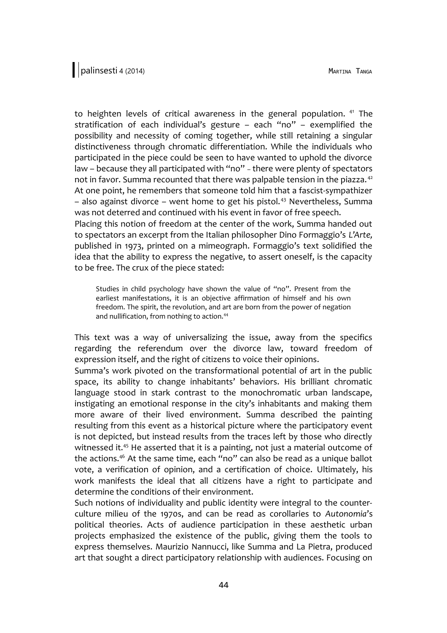to heighten levels of critical awareness in the general population. <sup>41</sup> The stratification of each individual's gesture – each "no" – exemplified the possibility and necessity of coming together, while still retaining a singular distinctiveness through chromatic differentiation. While the individuals who participated in the piece could be seen to have wanted to uphold the divorce law - because they all participated with "no" - there were plenty of spectators not in favor. Summa recounted that there was palpable tension in the piazza.<sup>42</sup> At one point, he remembers that someone told him that a fascist-sympathizer  $-$  also against divorce – went home to get his pistol.<sup>43</sup> Nevertheless, Summa was not deterred and continued with his event in favor of free speech. Placing this notion of freedom at the center of the work, Summa handed out

to spectators an excerpt from the Italian philosopher Dino Formaggio's *L'Arte,* published in 1973, printed on a mimeograph. Formaggio's text solidified the idea that the ability to express the negative, to assert oneself, is the capacity to be free. The crux of the piece stated:

Studies in child psychology have shown the value of "no". Present from the earliest manifestations, it is an objective affirmation of himself and his own freedom. The spirit, the revolution, and art are born from the power of negation and nullification, from nothing to action.<sup>44</sup>

This text was a way of universalizing the issue, away from the specifics regarding the referendum over the divorce law, toward freedom of expression itself, and the right of citizens to voice their opinions.

Summa's work pivoted on the transformational potential of art in the public space, its ability to change inhabitants' behaviors. His brilliant chromatic language stood in stark contrast to the monochromatic urban landscape, instigating an emotional response in the city's inhabitants and making them more aware of their lived environment. Summa described the painting resulting from this event as a historical picture where the participatory event is not depicted, but instead results from the traces left by those who directly witnessed it.<sup>45</sup> He asserted that it is a painting, not just a material outcome of the actions.<sup>46</sup> At the same time, each "no" can also be read as a unique ballot vote, a verification of opinion, and a certification of choice. Ultimately, his work manifests the ideal that all citizens have a right to participate and determine the conditions of their environment.

Such notions of individuality and public identity were integral to the counterculture milieu of the 1970s, and can be read as corollaries to *Autonomia*'s political theories. Acts of audience participation in these aesthetic urban projects emphasized the existence of the public, giving them the tools to express themselves. Maurizio Nannucci, like Summa and La Pietra, produced art that sought a direct participatory relationship with audiences. Focusing on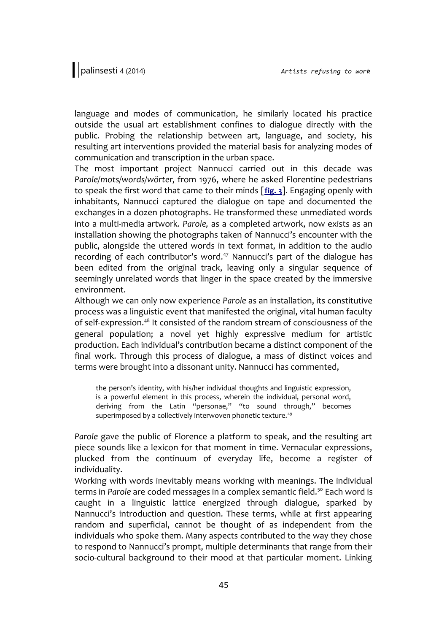language and modes of communication, he similarly located his practice outside the usual art establishment confines to dialogue directly with the public. Probing the relationship between art, language, and society, his resulting art interventions provided the material basis for analyzing modes of communication and transcription in the urban space.

The most important project Nannucci carried out in this decade was *Parole/mots/words/wörter*, from 1976, where he asked Florentine pedestrians to speak the first word that came to their minds [**[fig. 3](http://www.palinsesti.net/index.php/Palinsesti/article/downloadSuppFile/57/225)**]. Engaging openly with inhabitants, Nannucci captured the dialogue on tape and documented the exchanges in a dozen photographs. He transformed these unmediated words into a multi-media artwork. *Parole,* as a completed artwork, now exists as an installation showing the photographs taken of Nannucci's encounter with the public, alongside the uttered words in text format, in addition to the audio recording of each contributor's word.<sup>47</sup> Nannucci's part of the dialogue has been edited from the original track, leaving only a singular sequence of seemingly unrelated words that linger in the space created by the immersive environment.

Although we can only now experience *Parole* as an installation, its constitutive process was a linguistic event that manifested the original, vital human faculty of self-expression.<sup>48</sup> It consisted of the random stream of consciousness of the general population; a novel yet highly expressive medium for artistic production. Each individual's contribution became a distinct component of the final work. Through this process of dialogue, a mass of distinct voices and terms were brought into a dissonant unity. Nannucci has commented,

the person's identity, with his/her individual thoughts and linguistic expression, is a powerful element in this process, wherein the individual, personal word, deriving from the Latin "personae," "to sound through," becomes superimposed by a collectively interwoven phonetic texture.<sup>49</sup>

*Parole* gave the public of Florence a platform to speak, and the resulting art piece sounds like a lexicon for that moment in time. Vernacular expressions, plucked from the continuum of everyday life, become a register of individuality.

Working with words inevitably means working with meanings. The individual terms in *Parole* are coded messages in a complex semantic field.<sup>50</sup> Each word is caught in a linguistic lattice energized through dialogue, sparked by Nannucci's introduction and question. These terms, while at first appearing random and superficial, cannot be thought of as independent from the individuals who spoke them. Many aspects contributed to the way they chose to respond to Nannucci's prompt, multiple determinants that range from their socio-cultural background to their mood at that particular moment. Linking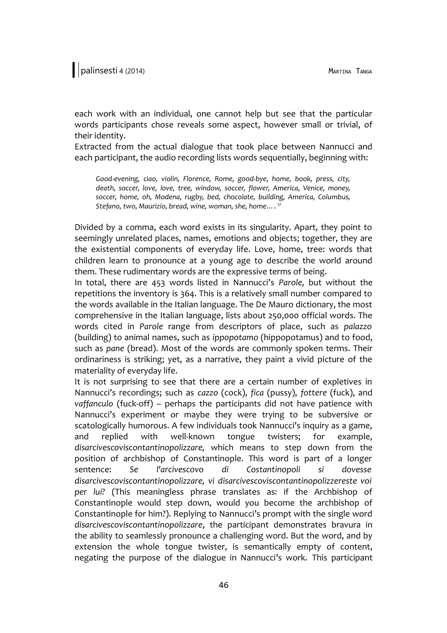each work with an individual, one cannot help but see that the particular words participants chose reveals some aspect, however small or trivial, of their identity.

Extracted from the actual dialogue that took place between Nannucci and each participant, the audio recording lists words sequentially, beginning with:

*Good-evening, ciao, violin, Florence, Rome, good-bye, home, book, press, city, death, soccer, love, love, tree, window, soccer, flower, America, Venice, money, soccer, home, oh, Modena, rugby, bed, chocolate, building, America, Columbus, Stefano, two, Maurizio, bread, wine, woman, she, home…*. 51

Divided by a comma, each word exists in its singularity. Apart, they point to seemingly unrelated places, names, emotions and objects; together, they are the existential components of everyday life. Love, home, tree: words that children learn to pronounce at a young age to describe the world around them. These rudimentary words are the expressive terms of being.

In total, there are 453 words listed in Nannucci's *Parole,* but without the repetitions the inventory is 364. This is a relatively small number compared to the words available in the Italian language. The De Mauro dictionary, the most comprehensive in the Italian language, lists about 250,000 official words. The words cited in *Parole* range from descriptors of place, such as *palazzo* (building) to animal names, such as *ippopotamo* (hippopotamus) and to food, such as *pane* (bread). Most of the words are commonly spoken terms. Their ordinariness is striking; yet, as a narrative, they paint a vivid picture of the materiality of everyday life.

It is not surprising to see that there are a certain number of expletives in Nannucci's recordings; such as *cazzo* (cock), *fica* (pussy), *fottere* (fuck), and *vaffanculo* (fuck-off) – perhaps the participants did not have patience with Nannucci's experiment or maybe they were trying to be subversive or scatologically humorous. A few individuals took Nannucci's inquiry as a game, and replied with well-known tongue twisters; for example, *disarcivescoviscontantinopolizzare,* which means to step down from the position of archbishop of Constantinople. This word is part of a longer sentence: *Se l'arcivescovo di Costantinopoli si dovesse disarcivescoviscontantinopolizzare, vi disarcivescoviscontantinopolizzereste voi per lui?* (This meaningless phrase translates as: if the Archbishop of Constantinople would step down, would you become the archbishop of Constantinople for him?). Replying to Nannucci's prompt with the single word *disarcivescoviscontantinopolizzare*, the participant demonstrates bravura in the ability to seamlessly pronounce a challenging word. But the word, and by extension the whole tongue twister, is semantically empty of content, negating the purpose of the dialogue in Nannucci's work. This participant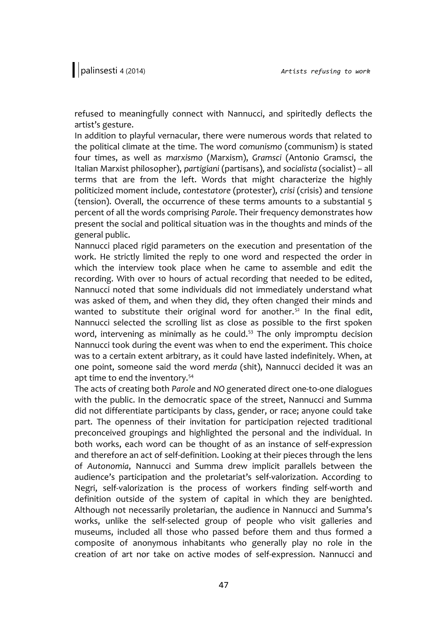refused to meaningfully connect with Nannucci, and spiritedly deflects the artist's gesture.

In addition to playful vernacular, there were numerous words that related to the political climate at the time. The word *comunismo* (communism) is stated four times, as well as *marxismo* (Marxism), *Gramsci* (Antonio Gramsci, the Italian Marxist philosopher), *partigiani* (partisans), and *socialista* (socialist) – all terms that are from the left. Words that might characterize the highly politicized moment include, *contestatore* (protester), *crisi* (crisis) and *tensione* (tension). Overall, the occurrence of these terms amounts to a substantial 5 percent of all the words comprising *Parole*. Their frequency demonstrates how present the social and political situation was in the thoughts and minds of the general public.

Nannucci placed rigid parameters on the execution and presentation of the work. He strictly limited the reply to one word and respected the order in which the interview took place when he came to assemble and edit the recording. With over 10 hours of actual recording that needed to be edited, Nannucci noted that some individuals did not immediately understand what was asked of them, and when they did, they often changed their minds and wanted to substitute their original word for another.<sup>52</sup> In the final edit, Nannucci selected the scrolling list as close as possible to the first spoken word, intervening as minimally as he could. $53$  The only impromptu decision Nannucci took during the event was when to end the experiment. This choice was to a certain extent arbitrary, as it could have lasted indefinitely. When, at one point, someone said the word *merda* (shit), Nannucci decided it was an apt time to end the inventory.<sup>54</sup>

The acts of creating both *Parole* and *NO* generated direct one-to-one dialogues with the public. In the democratic space of the street, Nannucci and Summa did not differentiate participants by class, gender, or race; anyone could take part. The openness of their invitation for participation rejected traditional preconceived groupings and highlighted the personal and the individual. In both works, each word can be thought of as an instance of self-expression and therefore an act of self-definition. Looking at their pieces through the lens of *Autonomia*, Nannucci and Summa drew implicit parallels between the audience's participation and the proletariat's self-valorization. According to Negri, self-valorization is the process of workers finding self-worth and definition outside of the system of capital in which they are benighted. Although not necessarily proletarian, the audience in Nannucci and Summa's works, unlike the self-selected group of people who visit galleries and museums, included all those who passed before them and thus formed a composite of anonymous inhabitants who generally play no role in the creation of art nor take on active modes of self-expression. Nannucci and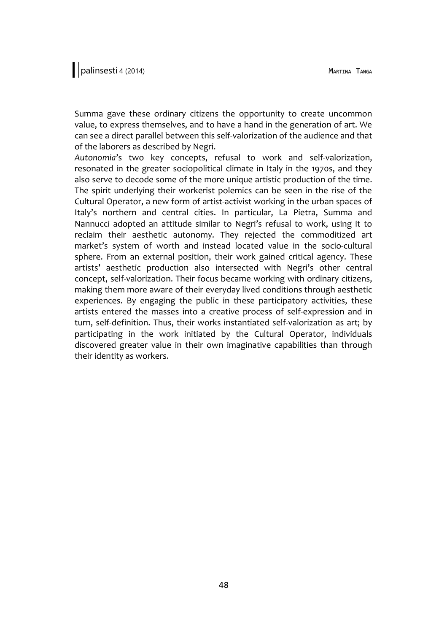Summa gave these ordinary citizens the opportunity to create uncommon value, to express themselves, and to have a hand in the generation of art. We can see a direct parallel between this self-valorization of the audience and that of the laborers as described by Negri.

*Autonomia*'s two key concepts, refusal to work and self-valorization, resonated in the greater sociopolitical climate in Italy in the 1970s, and they also serve to decode some of the more unique artistic production of the time. The spirit underlying their workerist polemics can be seen in the rise of the Cultural Operator, a new form of artist-activist working in the urban spaces of Italy's northern and central cities. In particular, La Pietra, Summa and Nannucci adopted an attitude similar to Negri's refusal to work, using it to reclaim their aesthetic autonomy. They rejected the commoditized art market's system of worth and instead located value in the socio-cultural sphere. From an external position, their work gained critical agency. These artists' aesthetic production also intersected with Negri's other central concept, self-valorization. Their focus became working with ordinary citizens, making them more aware of their everyday lived conditions through aesthetic experiences. By engaging the public in these participatory activities, these artists entered the masses into a creative process of self-expression and in turn, self-definition. Thus, their works instantiated self-valorization as art; by participating in the work initiated by the Cultural Operator, individuals discovered greater value in their own imaginative capabilities than through their identity as workers.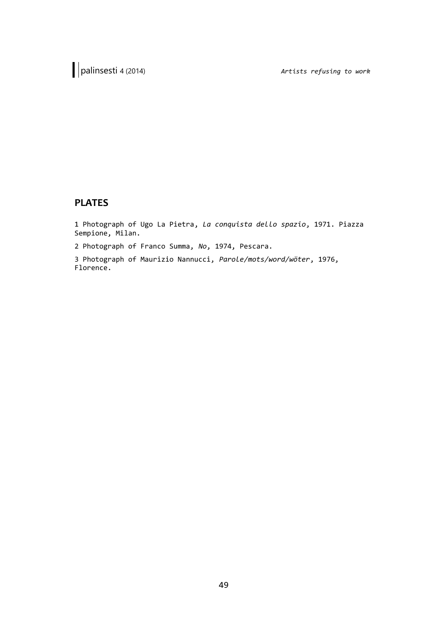## **PLATES**

1 Photograph of Ugo La Pietra, *La conquista dello spazio*, 1971. Piazza Sempione, Milan.

2 Photograph of Franco Summa, *No*, 1974, Pescara.

3 Photograph of Maurizio Nannucci, *Parole/mots/word/wöter*, 1976, Florence.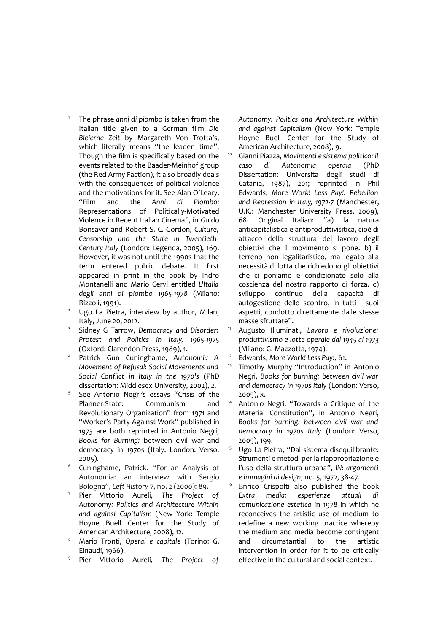The phrase *anni di piombo* is taken from the Italian title given to a German film *Die Bleierne Zeit* by Margareth Von Trotta's, which literally means "the leaden time". Though the film is specifically based on the events related to the Baader-Meinhof group (the Red Army Faction), it also broadly deals with the consequences of political violence and the motivations for it. See Alan O'Leary, "Film and the *Anni di Piombo:* Representations of Politically-Motivated Violence in Recent Italian Cinema", in Guido Bonsaver and Robert S. C. Gordon, *Culture, Censorship and the State in Twentieth-Century Italy* (London: Legenda, 2005), 169. However, it was not until the 1990s that the term entered public debate. It first appeared in print in the book by Indro Montanelli and Mario Cervi entitled *L'Italia degli anni di piombo 1965-1978* (Milano: Rizzoli, 1991).

1

- Ugo La Pietra, interview by author, Milan, Italy, June 20, 2012.
- 3 Sidney G Tarrow, *Democracy and Disorder: Protest and Politics in Italy, 1965-1975* (Oxford: Clarendon Press, 1989), 1.
- <sup>4</sup> Patrick Gun Cuninghame, *Autonomia A Movement of Refusal: Social Movements and Social Conflict in Italy in the 1970's* (PhD dissertation: Middlesex University, 2002), 2.
- 5 See Antonio Negri's essays "Crisis of the Planner-State: Communism and Revolutionary Organization" from 1971 and "Worker's Party Against Work" published in 1973 are both reprinted in Antonio Negri, *Books for Burning:* between civil war and democracy in 1970s (Italy. London: Verso, 2005).
- <sup>6</sup> Cuninghame, Patrick. "For an Analysis of Autonomia: an interview with Sergio Bologna", *Left History* 7, no. 2 (2000): 89.
- <sup>7</sup> Pier Vittorio Aureli, *The Project of Autonomy: Politics and Architecture Within and against Capitalism* (New York: Temple Hoyne Buell Center for the Study of American Architecture, 2008), 12.
- <sup>8</sup> Mario Tronti, *Operai e capitale* (Torino: G. Einaudi, 1966).
- <sup>9</sup> Pier Vittorio Aureli, *The Project of*

*Autonomy: Politics and Architecture Within and against Capitalism* (New York: Temple Hoyne Buell Center for the Study of American Architecture, 2008), 9.

- <sup>10</sup> Gianni Piazza, *Movimenti e sistema politico: il caso di Autonomia operaia* (PhD Dissertation: Universita degli studi di Catania, 1987), 201; reprinted in Phil Edwards, *More Work! Less Pay!: Rebellion and Repression in Italy, 1972-7* (Manchester, U.K.: Manchester University Press, 2009), 68. Original Italian: "a) la natura anticapitalistica e antiproduttivisitica, cioè di attacco della struttura del lavoro degli obiettivi che il movimento si pone. b) il terreno non legalitaristico, ma legato alla necessità di lotta che richiedono gli obiettivi che ci poniamo e condizionato solo alla coscienza del nostro rapporto di forza. c) sviluppo continuo della capacità di autogestione dello scontro, in tutti I suoi aspetti, condotto direttamente dalle stesse masse sfruttate".
- <sup>11</sup> Augusto Illuminati, *Lavoro e rivoluzione: produttivismo e lotte operaie dal 1945 al 1973* (Milano: G. Mazzotta, 1974).
- <sup>12</sup> Edwards, *More Work! Less Pay!,* 61.
- <sup>13</sup> Timothy Murphy "Introduction" in Antonio Negri, *Books for burning: between civil war and democracy in 1970s Italy* (London: Verso, 2005), x.
- <sup>14</sup> Antonio Negri, "Towards a Critique of the Material Constitution", in Antonio Negri, *Books for burning: between civil war and democracy in 1970s Italy* (London: Verso, 2005), 199.
- Ugo La Pietra, "Dal sistema disequilibrante: Strumenti e metodi per la riappropriazione e l'uso della struttura urbana", *IN: argomenti e immagini di design*, no. 5, 1972, 38-47.
- <sup>16</sup> Enrico Crispolti also published the book *Extra media: esperienze attuali di comunicazione estetica* in 1978 in which he reconceives the artistic use of medium to redefine a new working practice whereby the medium and media become contingent and circumstantial to the artistic intervention in order for it to be critically effective in the cultural and social context.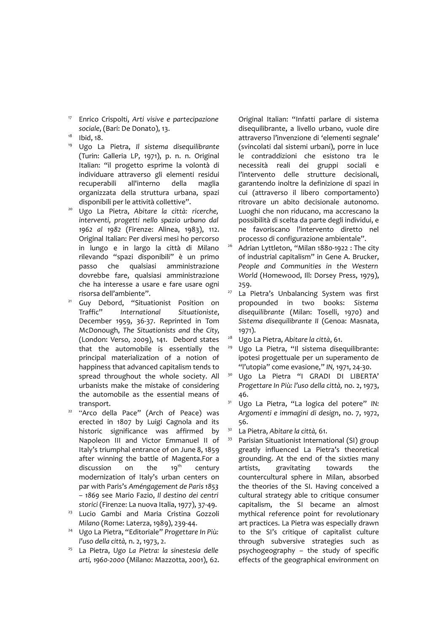<sup>17</sup> Enrico Crispolti, *Arti visive e partecipazione sociale*, (Bari: De Donato), 13.

- $18$  Ibid,  $18$ .
- <sup>19</sup> Ugo La Pietra, *Il sistema disequilibrante* (Turin: Galleria LP, 1971), p. n. n. Original Italian: "il progetto esprime la volontà di individuare attraverso gli elementi residui recuperabili all'interno della maglia organizzata della struttura urbana, spazi disponibili per le attività collettive".
- <sup>20</sup> Ugo La Pietra, *Abitare la città: ricerche, interventi, progetti nello spazio urbano dal 1962 al 1982* (Firenze: Alinea, 1983), 112. Original Italian: Per diversi mesi ho percorso in lungo e in largo la città di Milano rilevando "spazi disponibili" è un primo passo che qualsiasi amministrazione dovrebbe fare, qualsiasi amministrazione che ha interesse a usare e fare usare ogni risorsa dell'ambiente".
- <sup>21</sup> Guy Debord, "Situationist Position on Traffic" *International Situationiste*, December 1959, 36-37. Reprinted in Tom McDonough, *The Situationists and the City*, (London: Verso, 2009), 141. Debord states that the automobile is essentially the principal materialization of a notion of happiness that advanced capitalism tends to spread throughout the whole society. All urbanists make the mistake of considering the automobile as the essential means of transport.
- 22 "Arco della Pace" (Arch of Peace) was erected in 1807 by Luigi Cagnola and its historic significance was affirmed by Napoleon III and Victor Emmanuel II of Italy's triumphal entrance of on June 8, 1859 after winning the battle of Magenta.For a discussion on the  $19<sup>th</sup>$  century modernization of Italy's urban centers on par with Paris's *Améngagement de Paris 1853 – 1869* see Mario Fazio, *Il destino dei centri storici* (Firenze: La nuova Italia, 1977), 37-49.
- <sup>23</sup> Lucio Gambi and Maria Cristina Gozzoli *Milano* (Rome: Laterza, 1989), 239-44.
- <sup>24</sup> Ugo La Pietra, "Editoriale" *Progettare In Più: l'uso della città,* n. 2, 1973, 2.
- <sup>25</sup> La Pietra, *Ugo La Pietra: la sinestesia delle arti, 1960-2000* (Milano: Mazzotta, 2001), 62.

Original Italian: "Infatti parlare di sistema disequilibrante, a livello urbano, vuole dire attraverso l'invenzione di 'elementi segnale' (svincolati dal sistemi urbani), porre in luce le contraddizioni che esistono tra le necessità reali dei gruppi sociali e l'intervento delle strutture decisionali, garantendo inoltre la definizione di spazi in cui (attraverso il libero comportamento) ritrovare un abito decisionale autonomo. Luoghi che non riducano, ma accrescano la possibilità di scelta da parte degli individui, e ne favoriscano l'intervento diretto nel processo di configurazione ambientale".

- <sup>26</sup> Adrian Lyttleton, "Milan 1880-1922 : The city of industrial capitalism" in Gene A. Brucker, *People and Communities in the Western World* (Homewood, Ill: Dorsey Press, 1979), 259.
- <sup>27</sup> La Pietra's Unbalancing System was first propounded in two books: *Sistema disequilibrante* (Milan: Toselli, 1970) and *Sistema disequilibrante II* (Genoa: Masnata, 1971).
- <sup>28</sup> Ugo La Pietra, *Abitare la città*, 61.
- <sup>29</sup> Ugo La Pietra, "Il sistema disequilibrante: ipotesi progettuale per un superamento de "l'utopia" come evasione," *IN,* 1971, 24-30.
- <sup>30</sup> Ugo La Pietra "I GRADI DI LIBERTA' *Progettare In Più: l'uso della città,* no. 2, 1973, 46.
- <sup>31</sup> Ugo La Pietra, "La logica del potere" *IN: Argomenti e immagini di design*, no. 7, 1972, 56.
- <sup>32</sup> La Pietra, *Abitare la città,* 61.
- 33 Parisian Situationist International (SI) group greatly influenced La Pietra's theoretical grounding. At the end of the sixties many artists, gravitating towards the countercultural sphere in Milan, absorbed the theories of the SI. Having conceived a cultural strategy able to critique consumer capitalism, the SI became an almost mythical reference point for revolutionary art practices. La Pietra was especially drawn to the SI's critique of capitalist culture through subversive strategies such as psychogeography *–* the study of specific effects of the geographical environment on